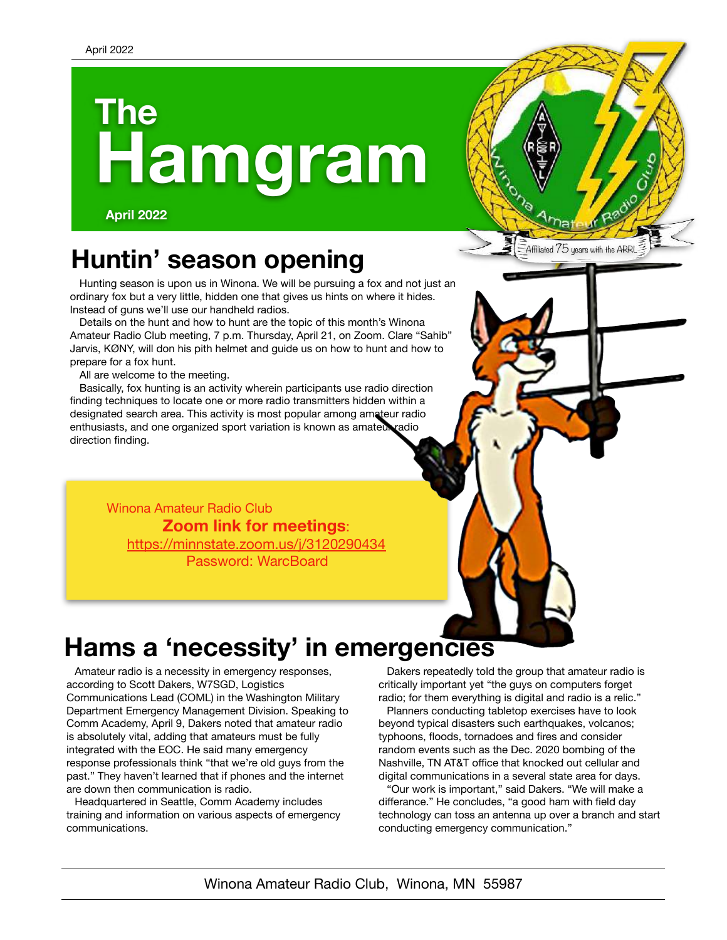# **Hamgram The**

**April 2022**

# **Huntin' season opening**

Hunting season is upon us in Winona. We will be pursuing a fox and not just an ordinary fox but a very little, hidden one that gives us hints on where it hides. Instead of guns we'll use our handheld radios.

Details on the hunt and how to hunt are the topic of this month's Winona Amateur Radio Club meeting, 7 p.m. Thursday, April 21, on Zoom. Clare "Sahib" Jarvis, KØNY, will don his pith helmet and guide us on how to hunt and how to prepare for a fox hunt.

All are welcome to the meeting.

Basically, fox hunting is an activity wherein participants use radio direction finding techniques to locate one or more radio transmitters hidden within a designated search area. This activity is most popular among amateur radio enthusiasts, and one organized sport variation is known as amateur radio direction finding.

Winona Amateur Radio Club **Zoom link for meetings**: <https://minnstate.zoom.us/j/3120290434> Password: WarcBoard

# **Hams a 'necessity' in emergencies**

Amateur radio is a necessity in emergency responses, according to Scott Dakers, W7SGD, Logistics Communications Lead (COML) in the Washington Military Department Emergency Management Division. Speaking to Comm Academy, April 9, Dakers noted that amateur radio is absolutely vital, adding that amateurs must be fully integrated with the EOC. He said many emergency response professionals think "that we're old guys from the past." They haven't learned that if phones and the internet are down then communication is radio.

Headquartered in Seattle, Comm Academy includes training and information on various aspects of emergency communications.

Dakers repeatedly told the group that amateur radio is critically important yet "the guys on computers forget radio; for them everything is digital and radio is a relic."

.<br>Affiliated 75 years with the ARRL

Planners conducting tabletop exercises have to look beyond typical disasters such earthquakes, volcanos; typhoons, floods, tornadoes and fires and consider random events such as the Dec. 2020 bombing of the Nashville, TN AT&T office that knocked out cellular and digital communications in a several state area for days.

"Our work is important," said Dakers. "We will make a differance." He concludes, "a good ham with field day technology can toss an antenna up over a branch and start conducting emergency communication."

Winona Amateur Radio Club, Winona, MN 55987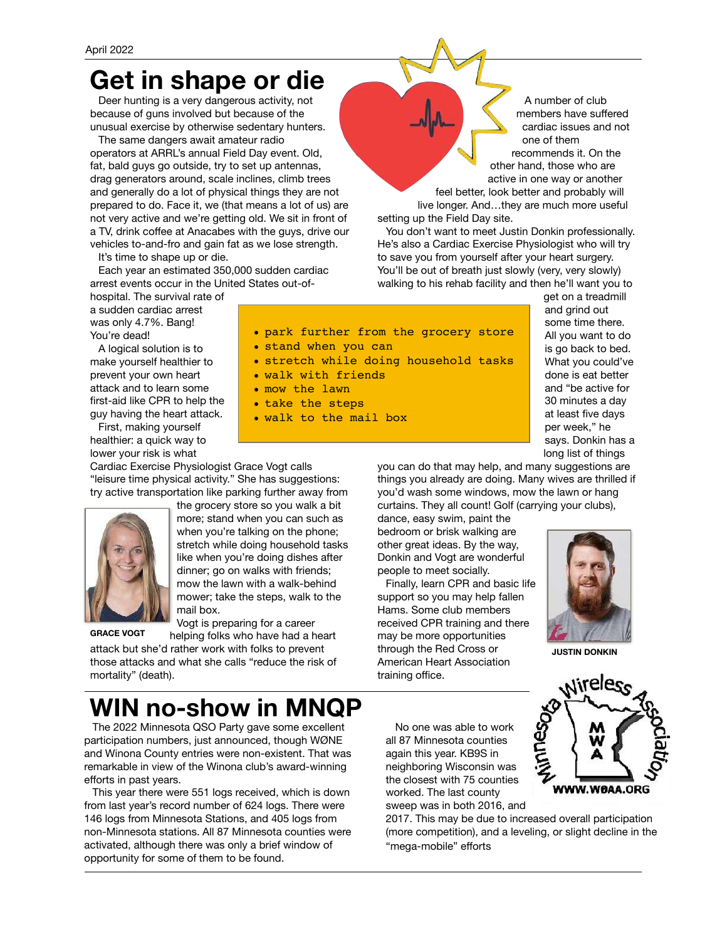## **Get in shape or die**

Deer hunting is a very dangerous activity, not because of guns involved but because of the unusual exercise by otherwise sedentary hunters.

The same dangers await amateur radio operators at ARRL's annual Field Day event. Old, fat, bald guys go outside, try to set up antennas, drag generators around, scale inclines, climb trees and generally do a lot of physical things they are not prepared to do. Face it, we (that means a lot of us) are not very active and we're getting old. We sit in front of a TV, drink coffee at Anacabes with the guys, drive our vehicles to-and-fro and gain fat as we lose strength.

It's time to shape up or die.

Each year an estimated 350,000 sudden cardiac arrest events occur in the United States out-of-

hospital. The survival rate of a sudden cardiac arrest was only 4.7%. Bang! You're dead!

A logical solution is to make yourself healthier to prevent your own heart attack and to learn some first-aid like CPR to help the guy having the heart attack.

First, making yourself healthier: a quick way to lower your risk is what

Cardiac Exercise Physiologist Grace Vogt calls "leisure time physical activity." She has suggestions: try active transportation like parking further away from



when you're talking on the phone; stretch while doing household tasks like when you're doing dishes after dinner; go on walks with friends; mow the lawn with a walk-behind mower; take the steps, walk to the mail box.

the grocery store so you walk a bit more; stand when you can such as

• stand when you can

• walk with friends • mow the lawn • take the steps

• walk to the mail box

Vogt is preparing for a career

helping folks who have had a heart attack but she'd rather work with folks to prevent those attacks and what she calls "reduce the risk of mortality" (death). **GRACE VOGT**

## **WIN no-show in MNQP**

The 2022 Minnesota QSO Party gave some excellent participation numbers, just announced, though WØNE and Winona County entries were non-existent. That was remarkable in view of the Winona club's award-winning efforts in past years.

This year there were 551 logs received, which is down from last year's record number of 624 logs. There were 146 logs from Minnesota Stations, and 405 logs from non-Minnesota stations. All 87 Minnesota counties were activated, although there was only a brief window of opportunity for some of them to be found.

No one was able to work all 87 Minnesota counties again this year. KB9S in neighboring Wisconsin was the closest with 75 counties worked. The last county sweep was in both 2016, and

training office.

2017. This may be due to increased overall participation (more competition), and a leveling, or slight decline in the "mega-mobile" efforts



WWW.WOAA.ORG

people to meet socially. Finally, learn CPR and basic life support so you may help fallen

Hams. Some club members received CPR training and there may be more opportunities through the Red Cross or American Heart Association

get on a treadmill and grind out some time there. All you want to do is go back to bed. What you could've done is eat better and "be active for 30 minutes a day at least five days per week," he says. Donkin has a long list of things

you can do that may help, and many suggestions are things you already are doing. Many wives are thrilled if you'd wash some windows, mow the lawn or hang curtains. They all count! Golf (carrying your clubs),

dance, easy swim, paint the

bedroom or brisk walking are other great ideas. By the way, Donkin and Vogt are wonderful



**JUSTIN DONKIN**

• park further from the grocery store • stretch while doing household tasks

members have suffered cardiac issues and not one of them recommends it. On the

feel better, look better and probably will live longer. And…they are much more useful setting up the Field Day site.

You don't want to meet Justin Donkin professionally. He's also a Cardiac Exercise Physiologist who will try to save you from yourself after your heart surgery. You'll be out of breath just slowly (very, very slowly) walking to his rehab facility and then he'll want you to

A number of club other hand, those who are active in one way or another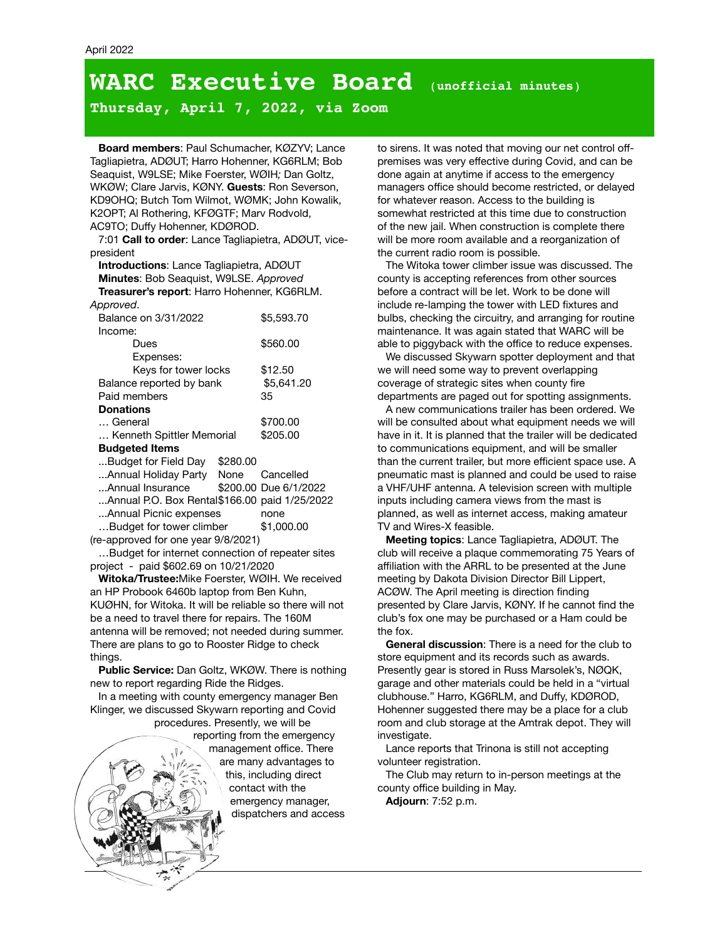## **WARC Executive Board** (**unofficial minutes**)

**Thursday, April 7, 2022, via Zoom**

**Board members**: Paul Schumacher, KØZYV; Lance Tagliapietra, ADØUT; Harro Hohenner, KG6RLM; Bob Seaquist, W9LSE; Mike Foerster, WØIH*;* Dan Goltz, WKØW; Clare Jarvis, KØNY. **Guests**: Ron Severson, KD9OHQ; Butch Tom Wilmot, WØMK; John Kowalik, K2OPT; Al Rothering, KFØGTF; Marv Rodvold, AC9TO; Duffy Hohenner, KDØROD.

7:01 **Call to order**: Lance Tagliapietra, ADØUT, vicepresident

**Introductions**: Lance Tagliapietra, ADØUT **Minutes**: Bob Seaquist, W9LSE. *Approved* **Treasurer's report**: Harro Hohenner, KG6RLM. *Approved*.

|                          | Balance on 3/31/2022                               |  | \$5,593.70            | bul  |
|--------------------------|----------------------------------------------------|--|-----------------------|------|
|                          | Income:                                            |  |                       | ma   |
|                          | Dues                                               |  | \$560.00              | abl  |
|                          | Expenses:                                          |  |                       | v    |
|                          | Keys for tower locks<br>Balance reported by bank   |  | \$12.50               | we   |
|                          |                                                    |  | \$5,641.20            | CO۱  |
|                          | Paid members                                       |  | 35                    | der  |
|                          | <b>Donations</b>                                   |  |                       | А    |
|                          | General                                            |  | \$700.00              | will |
|                          | Kenneth Spittler Memorial<br><b>Budgeted Items</b> |  | \$205.00              | ha۱  |
|                          |                                                    |  |                       | to ( |
|                          | Budget for Field Day \$280.00                      |  |                       | tha  |
|                          | Annual Holiday Party None                          |  | Cancelled             | pne  |
|                          | Annual Insurance                                   |  | \$200.00 Due 6/1/2022 | a V  |
|                          | Annual P.O. Box Rental\$166.00 paid 1/25/2022      |  |                       | inp  |
|                          | Annual Picnic expenses                             |  | none                  | pla  |
| Budget for tower climber |                                                    |  | \$1,000.00            | TV   |
|                          | (re-approved for one year 9/8/2021)                |  |                       |      |

…Budget for internet connection of repeater sites project - paid \$602.69 on 10/21/2020

**Witoka/Trustee:**Mike Foerster, WØIH. We received an HP Probook 6460b laptop from Ben Kuhn, KUØHN, for Witoka. It will be reliable so there will not be a need to travel there for repairs. The 160M antenna will be removed; not needed during summer. There are plans to go to Rooster Ridge to check things.

**Public Service:** Dan Goltz, WKØW. There is nothing new to report regarding Ride the Ridges.

In a meeting with county emergency manager Ben Klinger, we discussed Skywarn reporting and Covid procedures. Presently, we will be

reporting from the emergency management office. There are many advantages to this, including direct contact with the emergency manager, dispatchers and access to sirens. It was noted that moving our net control offpremises was very effective during Covid, and can be done again at anytime if access to the emergency managers office should become restricted, or delayed for whatever reason. Access to the building is somewhat restricted at this time due to construction of the new jail. When construction is complete there will be more room available and a reorganization of the current radio room is possible.

The Witoka tower climber issue was discussed. The county is accepting references from other sources before a contract will be let. Work to be done will include re-lamping the tower with LED fixtures and bulbs, checking the circuitry, and arranging for routine maintenance. It was again stated that WARC will be able to piggyback with the office to reduce expenses.

We discussed Skywarn spotter deployment and that we will need some way to prevent overlapping coverage of strategic sites when county fire departments are paged out for spotting assignments.

A new communications trailer has been ordered. We will be consulted about what equipment needs we will have in it. It is planned that the trailer will be dedicated to communications equipment, and will be smaller than the current trailer, but more efficient space use. A pneumatic mast is planned and could be used to raise a VHF/UHF antenna. A television screen with multiple inputs including camera views from the mast is planned, as well as internet access, making amateur TV and Wires-X feasible.

**Meeting topics**: Lance Tagliapietra, ADØUT. The club will receive a plaque commemorating 75 Years of affiliation with the ARRL to be presented at the June meeting by Dakota Division Director Bill Lippert, ACØW. The April meeting is direction finding presented by Clare Jarvis, KØNY. If he cannot find the club's fox one may be purchased or a Ham could be the fox.

**General discussion**: There is a need for the club to store equipment and its records such as awards. Presently gear is stored in Russ Marsolek's, NØQK, garage and other materials could be held in a "virtual clubhouse." Harro, KG6RLM, and Duffy, KDØROD, Hohenner suggested there may be a place for a club room and club storage at the Amtrak depot. They will investigate.

Lance reports that Trinona is still not accepting volunteer registration.

The Club may return to in-person meetings at the county office building in May.

**Adjourn**: 7:52 p.m.